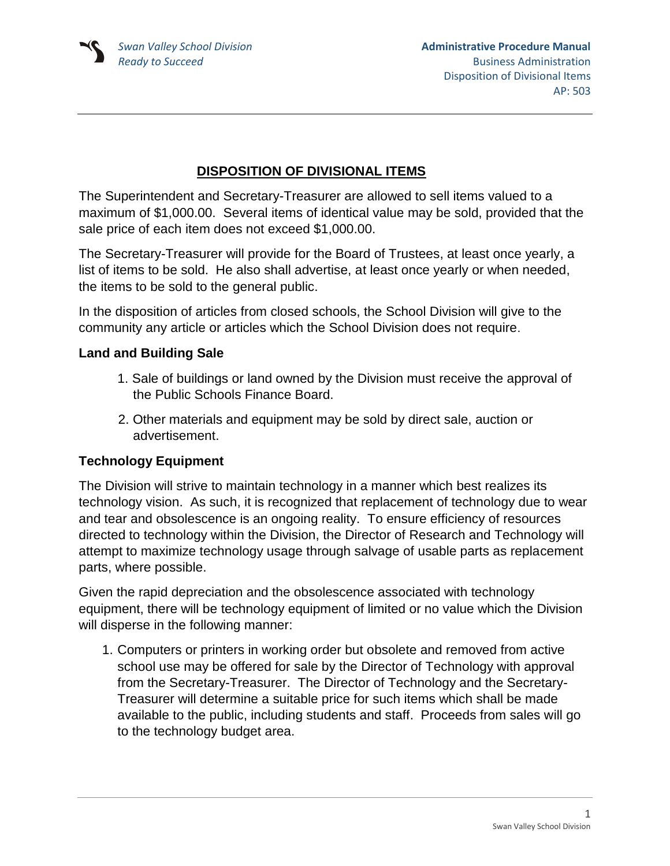## **DISPOSITION OF DIVISIONAL ITEMS**

The Superintendent and Secretary-Treasurer are allowed to sell items valued to a maximum of \$1,000.00. Several items of identical value may be sold, provided that the sale price of each item does not exceed \$1,000.00.

The Secretary-Treasurer will provide for the Board of Trustees, at least once yearly, a list of items to be sold. He also shall advertise, at least once yearly or when needed, the items to be sold to the general public.

In the disposition of articles from closed schools, the School Division will give to the community any article or articles which the School Division does not require.

## **Land and Building Sale**

- 1. Sale of buildings or land owned by the Division must receive the approval of the Public Schools Finance Board.
- 2. Other materials and equipment may be sold by direct sale, auction or advertisement.

## **Technology Equipment**

The Division will strive to maintain technology in a manner which best realizes its technology vision. As such, it is recognized that replacement of technology due to wear and tear and obsolescence is an ongoing reality. To ensure efficiency of resources directed to technology within the Division, the Director of Research and Technology will attempt to maximize technology usage through salvage of usable parts as replacement parts, where possible.

Given the rapid depreciation and the obsolescence associated with technology equipment, there will be technology equipment of limited or no value which the Division will disperse in the following manner:

1. Computers or printers in working order but obsolete and removed from active school use may be offered for sale by the Director of Technology with approval from the Secretary-Treasurer. The Director of Technology and the Secretary-Treasurer will determine a suitable price for such items which shall be made available to the public, including students and staff. Proceeds from sales will go to the technology budget area.